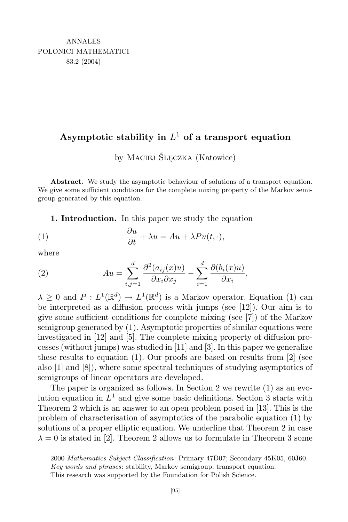## **Asymptotic stability in** *L* <sup>1</sup> **of a transport equation**

by Maciej Ślęczka (Katowice)

**Abstract.** We study the asymptotic behaviour of solutions of a transport equation. We give some sufficient conditions for the complete mixing property of the Markov semigroup generated by this equation.

**1. Introduction.** In this paper we study the equation

(1) 
$$
\frac{\partial u}{\partial t} + \lambda u = Au + \lambda Pu(t, \cdot),
$$

where

(2) 
$$
Au = \sum_{i,j=1}^{d} \frac{\partial^2 (a_{ij}(x)u)}{\partial x_i \partial x_j} - \sum_{i=1}^{d} \frac{\partial (b_i(x)u)}{\partial x_i},
$$

 $\lambda \geq 0$  and  $P: L^1(\mathbb{R}^d) \to L^1(\mathbb{R}^d)$  is a Markov operator. Equation (1) can be interpreted as a diffusion process with jumps (see [12]). Our aim is to give some sufficient conditions for complete mixing (see [7]) of the Markov semigroup generated by (1). Asymptotic properties of similar equations were investigated in [12] and [5]. The complete mixing property of diffusion processes (without jumps) was studied in [11] and [3]. In this paper we generalize these results to equation (1). Our proofs are based on results from [2] (see also [1] and [8]), where some spectral techniques of studying asymptotics of semigroups of linear operators are developed.

The paper is organized as follows. In Section 2 we rewrite (1) as an evolution equation in *L* <sup>1</sup> and give some basic definitions. Section 3 starts with Theorem 2 which is an answer to an open problem posed in [13]. This is the problem of characterisation of asymptotics of the parabolic equation (1) by solutions of a proper elliptic equation. We underline that Theorem 2 in case  $\lambda = 0$  is stated in [2]. Theorem 2 allows us to formulate in Theorem 3 some

<sup>2000</sup> *Mathematics Subject Classification*: Primary 47D07; Secondary 45K05, 60J60.

*Key words and phrases*: stability, Markov semigroup, transport equation.

This research was supported by the Foundation for Polish Science.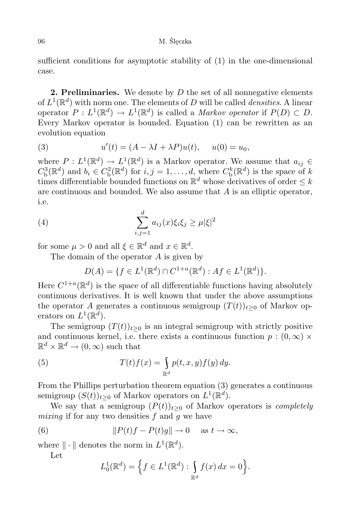96 M. Ślęczka

sufficient conditions for asymptotic stability of (1) in the one-dimensional case.

**2. Preliminaries.** We denote by *D* the set of all nonnegative elements of  $L^1(\mathbb{R}^d)$  with norm one. The elements of *D* will be called *densities*. A linear operator  $P: L^1(\mathbb{R}^d) \to L^1(\mathbb{R}^d)$  is called a *Markov operator* if  $P(D) \subset D$ . Every Markov operator is bounded. Equation (1) can be rewritten as an evolution equation

(3) 
$$
u'(t) = (A - \lambda I + \lambda P)u(t), \quad u(0) = u_0,
$$

where  $P: L^1(\mathbb{R}^d) \to L^1(\mathbb{R}^d)$  is a Markov operator. We assume that  $a_{ij} \in \mathbb{R}^2$  $C_{\mathrm{b}}^{3}(\mathbb{R}^{d})$  and  $b_{i} \in C_{\mathrm{b}}^{2}(\mathbb{R}^{d})$  for  $i, j = 1, ..., d$ , where  $C_{\mathrm{b}}^{k}(\mathbb{R}^{d})$  is the space of k times differentiable bounded functions on  $\mathbb{R}^d$  whose derivatives of order  $\leq k$ are continuous and bounded. We also assume that *A* is an elliptic operator, i.e.

(4) 
$$
\sum_{i,j=1}^d a_{ij}(x)\xi_i\xi_j \ge \mu |\xi|^2
$$

for some  $\mu > 0$  and all  $\xi \in \mathbb{R}^d$  and  $x \in \mathbb{R}^d$ .

The domain of the operator *A* is given by

$$
D(A) = \{ f \in L^1(\mathbb{R}^d) \cap C^{1+a}(\mathbb{R}^d) : Af \in L^1(\mathbb{R}^d) \}.
$$

Here  $C^{1+a}(\mathbb{R}^d)$  is the space of all differentiable functions having absolutely continuous derivatives. It is well known that under the above assumptions the operator *A* generates a continuous semigroup  $(T(t))_{t\geq 0}$  of Markov operators on  $L^1(\mathbb{R}^d)$ .

The semigroup  $(T(t))_{t\geq 0}$  is an integral semigroup with strictly positive and continuous kernel, i.e. there exists a continuous function  $p:(0,\infty)\times$  $\mathbb{R}^d \times \mathbb{R}^d \to (0, \infty)$  such that

(5) 
$$
T(t)f(x) = \int_{\mathbb{R}^d} p(t, x, y) f(y) dy.
$$

From the Phillips perturbation theorem equation (3) generates a continuous semigroup  $(S(t))_{t\geq0}$  of Markov operators on  $L^1(\mathbb{R}^d)$ .

We say that a semigroup  $(P(t))_{t>0}$  of Markov operators is *completely mixing* if for any two densities *f* and *g* we have

(6) 
$$
||P(t)f - P(t)g|| \to 0 \quad \text{as } t \to \infty,
$$

where  $\|\cdot\|$  denotes the norm in  $L^1(\mathbb{R}^d)$ .

Let

$$
L_0^1(\mathbb{R}^d) = \Big\{ f \in L^1(\mathbb{R}^d) : \int_{\mathbb{R}^d} f(x) dx = 0 \Big\}.
$$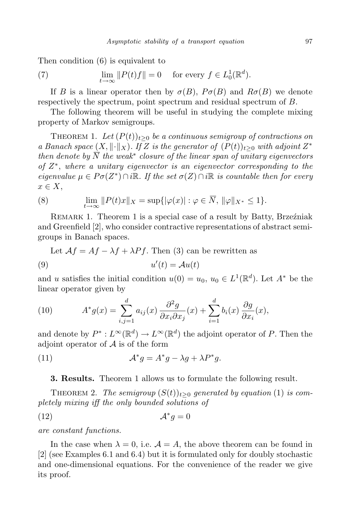Then condition (6) is equivalent to

(7) 
$$
\lim_{t \to \infty} ||P(t)f|| = 0 \quad \text{for every } f \in L_0^1(\mathbb{R}^d).
$$

If *B* is a linear operator then by  $\sigma(B)$ ,  $P\sigma(B)$  and  $R\sigma(B)$  we denote respectively the spectrum, point spectrum and residual spectrum of *B*.

The following theorem will be useful in studying the complete mixing property of Markov semigroups.

THEOREM 1. Let  $(P(t))_{t>0}$  be a continuous semigroup of contractions on *a Banach space*  $(X, \|\cdot\|_X)$ *. If Z is the generator of*  $(P(t))_{t\geq0}$  *with adjoint*  $Z^*$ *then denote by N the weak<sup>∗</sup> closure of the linear span of unitary eigenvectors of Z ∗* , *where a unitary eigenvector is an eigenvector corresponding to the*  $eigenvalue \mu \in Po(Z^*) \cap i\mathbb{R}$ . If the set  $\sigma(Z) \cap i\mathbb{R}$  is countable then for every *x ∈ X*,

(8) 
$$
\lim_{t \to \infty} ||P(t)x||_X = \sup{ | \varphi(x) | : \varphi \in \overline{N}, ||\varphi||_{X^*} \le 1 }.
$$

Remark 1. Theorem 1 is a special case of a result by Batty, Brzeźniak and Greenfield [2], who consider contractive representations of abstract semigroups in Banach spaces.

Let  $Af = Af - \lambda f + \lambda Pf$ . Then (3) can be rewritten as

$$
(9) \t u'(t) = \mathcal{A}u(t)
$$

and *u* satisfies the initial condition  $u(0) = u_0, u_0 \in L^1(\mathbb{R}^d)$ . Let  $A^*$  be the linear operator given by

(10) 
$$
A^* g(x) = \sum_{i,j=1}^d a_{ij}(x) \frac{\partial^2 g}{\partial x_i \partial x_j}(x) + \sum_{i=1}^d b_i(x) \frac{\partial g}{\partial x_i}(x),
$$

and denote by  $P^* : L^\infty(\mathbb{R}^d) \to L^\infty(\mathbb{R}^d)$  the adjoint operator of *P*. Then the adjoint operator of *A* is of the form

(11) 
$$
\mathcal{A}^* g = A^* g - \lambda g + \lambda P^* g.
$$

## **3. Results.** Theorem 1 allows us to formulate the following result.

THEOREM 2. *The semigroup*  $(S(t))_{t>0}$  generated by equation (1) is com*pletely mixing iff the only bounded solutions of*

$$
(12)\t\t\t\t\mathcal{A}^*g=0
$$

*are constant functions.*

In the case when  $\lambda = 0$ , i.e.  $\mathcal{A} = A$ , the above theorem can be found in [2] (see Examples 6.1 and 6.4) but it is formulated only for doubly stochastic and one-dimensional equations. For the convenience of the reader we give its proof.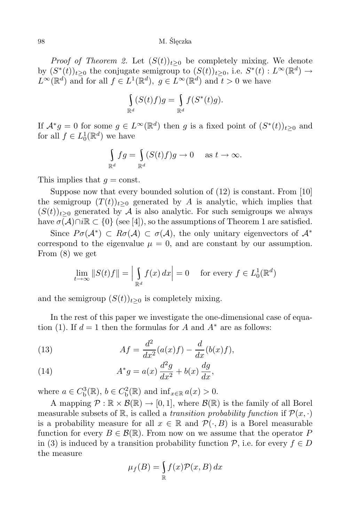## 98 M. Ślęczka

*Proof of Theorem 2.* Let  $(S(t))_{t>0}$  be completely mixing. We denote by  $(S^*(t))_{t\geq 0}$  the conjugate semigroup to  $(S(t))_{t\geq 0}$ , i.e.  $S^*(t): L^\infty(\mathbb{R}^d) \to$  $L^{\infty}(\mathbb{R}^d)$  and for all  $f \in L^1(\mathbb{R}^d)$ ,  $g \in L^{\infty}(\mathbb{R}^d)$  and  $t > 0$  we have

$$
\int_{\mathbb{R}^d} (S(t)f)g = \int_{\mathbb{R}^d} f(S^*(t)g).
$$

If  $\mathcal{A}^* g = 0$  for some  $g \in L^\infty(\mathbb{R}^d)$  then *g* is a fixed point of  $(S^*(t))_{t \geq 0}$  and for all  $f \in L_0^1(\mathbb{R}^d)$  we have

$$
\int_{\mathbb{R}^d} fg = \int_{\mathbb{R}^d} (S(t)f)g \to 0 \quad \text{ as } t \to \infty.
$$

This implies that  $q = \text{const.}$ 

Suppose now that every bounded solution of (12) is constant. From [10] the semigroup  $(T(t))_{t>0}$  generated by *A* is analytic, which implies that  $(S(t))_{t\geq0}$  generated by A is also analytic. For such semigroups we always have  $\sigma(\mathcal{A}) \cap i\mathbb{R} \subset \{0\}$  (see [4]), so the assumptions of Theorem 1 are satisfied.

Since  $P\sigma(\mathcal{A}^*) \subset R\sigma(\mathcal{A}) \subset \sigma(\mathcal{A})$ , the only unitary eigenvectors of  $\mathcal{A}^*$ correspond to the eigenvalue  $\mu = 0$ , and are constant by our assumption. From (8) we get

$$
\lim_{t \to \infty} ||S(t)f|| = \left| \int_{\mathbb{R}^d} f(x) \, dx \right| = 0 \quad \text{for every } f \in L_0^1(\mathbb{R}^d)
$$

and the semigroup  $(S(t))_{t>0}$  is completely mixing.

In the rest of this paper we investigate the one-dimensional case of equation (1). If  $d = 1$  then the formulas for *A* and  $A^*$  are as follows:

(13) 
$$
Af = \frac{d^2}{dx^2}(a(x)f) - \frac{d}{dx}(b(x)f),
$$

(14) 
$$
A^*g = a(x)\frac{d^2g}{dx^2} + b(x)\frac{dg}{dx},
$$

where  $a \in C_b^3(\mathbb{R})$ ,  $b \in C_b^2(\mathbb{R})$  and  $\inf_{x \in \mathbb{R}} a(x) > 0$ .

A mapping  $\mathcal{P}: \mathbb{R} \times \mathcal{B}(\mathbb{R}) \to [0,1]$ , where  $\mathcal{B}(\mathbb{R})$  is the family of all Borel measurable subsets of  $\mathbb{R}$ , is called a *transition probability function* if  $\mathcal{P}(x, \cdot)$ is a probability measure for all  $x \in \mathbb{R}$  and  $\mathcal{P}(\cdot, B)$  is a Borel measurable function for every  $B \in \mathcal{B}(\mathbb{R})$ . From now on we assume that the operator P in (3) is induced by a transition probability function  $P$ , i.e. for every  $f \in D$ the measure

$$
\mu_f(B) = \int_{\mathbb{R}} f(x) \mathcal{P}(x, B) \, dx
$$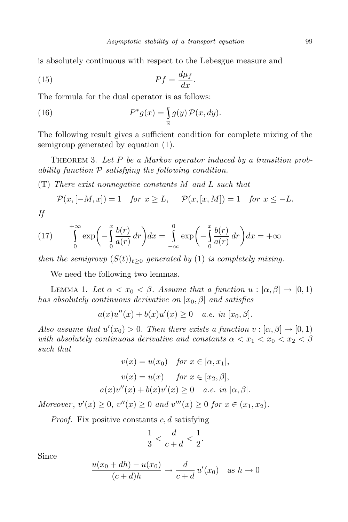is absolutely continuous with respect to the Lebesgue measure and

$$
(15)\t\t\t\tPf = \frac{d\mu_f}{dx}.
$$

The formula for the dual operator is as follows:

(16) 
$$
P^*g(x) = \int_{\mathbb{R}} g(y) \mathcal{P}(x, dy).
$$

The following result gives a sufficient condition for complete mixing of the semigroup generated by equation (1).

THEOREM 3. Let P be a Markov operator induced by a transition prob*ability function P satisfying the following condition.*

(T) *There exist nonnegative constants M and L such that*

$$
\mathcal{P}(x, [-M, x]) = 1 \quad \text{for } x \ge L, \quad \mathcal{P}(x, [x, M]) = 1 \quad \text{for } x \le -L.
$$

*If*

(17) 
$$
\int_{0}^{+\infty} \exp\left(-\int_{0}^{x} \frac{b(r)}{a(r)} dr\right) dx = \int_{-\infty}^{0} \exp\left(-\int_{0}^{x} \frac{b(r)}{a(r)} dr\right) dx = +\infty
$$

*then the semigroup*  $(S(t))_{t>0}$  *generated by* (1) *is completely mixing.* 

We need the following two lemmas.

LEMMA 1. Let  $\alpha < x_0 < \beta$ . Assume that a function  $u : [\alpha, \beta] \to [0, 1)$ *has absolutely continuous derivative on* [*x*0*, β*] *and satisfies*

$$
a(x)u''(x) + b(x)u'(x) \ge 0
$$
 a.e. in  $[x_0, \beta]$ .

*Also assume that*  $u'(x_0) > 0$ *. Then there exists a function*  $v : [\alpha, \beta] \to [0, 1)$ *with absolutely continuous derivative and constants*  $\alpha < x_1 < x_0 < x_2 < \beta$ *such that*

$$
v(x) = u(x_0) \quad \text{for } x \in [\alpha, x_1],
$$

$$
v(x) = u(x) \quad \text{for } x \in [x_2, \beta],
$$

$$
a(x)v''(x) + b(x)v'(x) \ge 0 \quad a.e. \text{ in } [\alpha, \beta].
$$

*Moreover*,  $v'(x) \geq 0$ ,  $v''(x) \geq 0$  and  $v'''(x) \geq 0$  for  $x \in (x_1, x_2)$ .

*Proof.* Fix positive constants *c, d* satisfying

$$
\frac{1}{3} < \frac{d}{c+d} < \frac{1}{2}.
$$

Since

$$
\frac{u(x_0 + dh) - u(x_0)}{(c + d)h} \to \frac{d}{c + d} u'(x_0) \quad \text{as } h \to 0
$$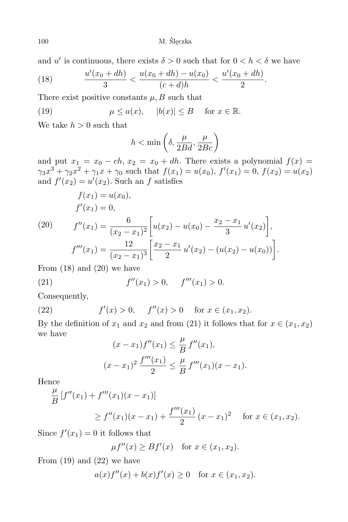M. Ślęczka

and *u'* is continuous, there exists  $\delta > 0$  such that for  $0 < h < \delta$  we have

(18) 
$$
\frac{u'(x_0 + dh)}{3} < \frac{u(x_0 + dh) - u(x_0)}{(c + d)h} < \frac{u'(x_0 + dh)}{2}.
$$

There exist positive constants  $\mu$ , *B* such that

(19) 
$$
\mu \le a(x), \quad |b(x)| \le B \quad \text{for } x \in \mathbb{R}.
$$

We take  $h > 0$  such that

$$
h<\min\left(\delta,\frac{\mu}{2Bd},\frac{\mu}{2Bc}\right)
$$

and put  $x_1 = x_0 - ch$ ,  $x_2 = x_0 + dh$ . There exists a polynomial  $f(x) =$  $\gamma_3 x^3 + \gamma_2 x^2 + \gamma_1 x + \gamma_0$  such that  $f(x_1) = u(x_0)$ ,  $f'(x_1) = 0$ ,  $f(x_2) = u(x_2)$ and  $f'(x_2) = u'(x_2)$ . Such an *f* satisfies

(20) 
$$
f(x_1) = u(x_0),
$$

$$
f'(x_1) = 0,
$$

$$
f''(x_1) = \frac{6}{(x_2 - x_1)^2} \left[ u(x_2) - u(x_0) - \frac{x_2 - x_1}{3} u'(x_2) \right],
$$

$$
f'''(x_1) = \frac{12}{(x_2 - x_1)^3} \left[ \frac{x_2 - x_1}{2} u'(x_2) - (u(x_2) - u(x_0)) \right].
$$

From  $(18)$  and  $(20)$  we have

(21) 
$$
f''(x_1) > 0, \quad f'''(x_1) > 0.
$$

Consequently,

(22) 
$$
f'(x) > 0
$$
,  $f''(x) > 0$  for  $x \in (x_1, x_2)$ .

By the definition of  $x_1$  and  $x_2$  and from (21) it follows that for  $x \in (x_1, x_2)$ we have

$$
(x - x_1)f''(x_1) \leq \frac{\mu}{B} f''(x_1),
$$
  

$$
(x - x_1)^2 \frac{f'''(x_1)}{2} \leq \frac{\mu}{B} f'''(x_1)(x - x_1).
$$

Hence

$$
\frac{\mu}{B} [f''(x_1) + f'''(x_1)(x - x_1)]
$$
\n
$$
\ge f''(x_1)(x - x_1) + \frac{f'''(x_1)}{2}(x - x_1)^2 \quad \text{for } x \in (x_1, x_2).
$$

Since  $f'(x_1) = 0$  it follows that

$$
\mu f''(x) \ge Bf'(x) \quad \text{for } x \in (x_1, x_2).
$$

From  $(19)$  and  $(22)$  we have

$$
a(x)f''(x) + b(x)f'(x) \ge 0
$$
 for  $x \in (x_1, x_2)$ .

$$
100\,
$$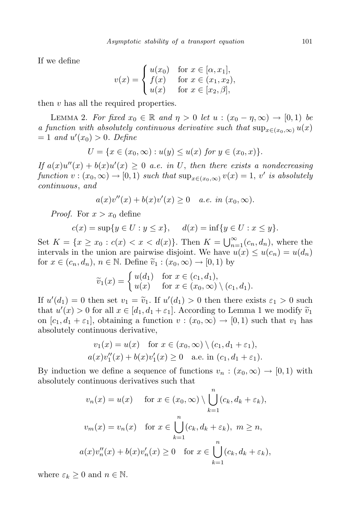If we define

$$
v(x) = \begin{cases} u(x_0) & \text{for } x \in [\alpha, x_1], \\ f(x) & \text{for } x \in (x_1, x_2), \\ u(x) & \text{for } x \in [x_2, \beta], \end{cases}
$$

then *v* has all the required properties.

LEMMA 2. For fixed  $x_0 \in \mathbb{R}$  and  $\eta > 0$  let  $u : (x_0 - \eta, \infty) \to [0, 1)$  be *a function with absolutely continuous derivative such that*  $\sup_{x \in (x_0, \infty)} u(x)$  $= 1$  *and*  $u'(x_0) > 0$ *. Define* 

$$
U = \{ x \in (x_0, \infty) : u(y) \le u(x) \text{ for } y \in (x_0, x) \}.
$$

 $\int f(x) \, dx$   $\int f(x) \, dx$   $\int f(x) \, dx$   $\int f(x) \, dx$   $\int f(x) \, dx$   $\int f(x) \, dx$   $\int f(x) \, dx$   $\int f(x) \, dx$   $\int f(x) \, dx$   $\int f(x) \, dx$   $\int f(x) \, dx$   $\int f(x) \, dx$   $\int f(x) \, dx$   $\int f(x) \, dx$   $\int f(x) \, dx$   $\int f(x) \, dx$   $\int f(x) \, dx$   $\int f(x) \, dx$   $\int f(x) \, dx$   $\int f(x) \, dx$   $function \ v:(x_0,\infty) \to [0,1) \ such that \ $sup_{x \in (x_0,\infty)} v(x) = 1, \ v' \ \ is \ absolutely$$ *continuous*, *and*

$$
a(x)v''(x) + b(x)v'(x) \ge 0
$$
 a.e. in  $(x_0, \infty)$ .

*Proof.* For  $x > x_0$  define

$$
c(x) = \sup\{y \in U : y \le x\}, \quad d(x) = \inf\{y \in U : x \le y\}.
$$

Set  $K = \{x \ge x_0 : c(x) < x < d(x)\}$ . Then  $K = \bigcup_{n=1}^{\infty} (c_n, d_n)$ , where the intervals in the union are pairwise disjoint. We have  $u(x) \leq u(c_n) = u(d_n)$ for  $x \in (c_n, d_n)$ ,  $n \in \mathbb{N}$ . Define  $\tilde{v}_1 : (x_0, \infty) \to [0, 1)$  by

$$
\widetilde{v}_1(x) = \begin{cases} u(d_1) & \text{for } x \in (c_1, d_1), \\ u(x) & \text{for } x \in (x_0, \infty) \setminus (c_1, d_1). \end{cases}
$$

If  $u'(d_1) = 0$  then set  $v_1 = \tilde{v}_1$ . If  $u'(d_1) > 0$  then there exists  $\varepsilon_1 > 0$  such<br>that  $u'(c) > 0$  for all  $v \in [d_1, d_2]$  is a lateral property Lemma 1 are reality  $\tilde{v}$ . that  $u'(x) > 0$  for all  $x \in [d_1, d_1 + \varepsilon_1]$ . According to Lemma 1 we modify  $\tilde{v}_1$ on  $[c_1, d_1 + \varepsilon_1]$ , obtaining a function  $v : (x_0, \infty) \to [0, 1)$  such that  $v_1$  has absolutely continuous derivative,

$$
v_1(x) = u(x) \quad \text{for } x \in (x_0, \infty) \setminus (c_1, d_1 + \varepsilon_1),
$$
  
 
$$
a(x)v_1''(x) + b(x)v_1'(x) \ge 0 \quad \text{a.e. in } (c_1, d_1 + \varepsilon_1).
$$

By induction we define a sequence of functions  $v_n : (x_0, \infty) \to [0, 1)$  with absolutely continuous derivatives such that

$$
v_n(x) = u(x) \quad \text{for } x \in (x_0, \infty) \setminus \bigcup_{k=1}^n (c_k, d_k + \varepsilon_k),
$$
  

$$
v_m(x) = v_n(x) \quad \text{for } x \in \bigcup_{k=1}^n (c_k, d_k + \varepsilon_k), \ m \ge n,
$$
  

$$
a(x)v''_n(x) + b(x)v'_n(x) \ge 0 \quad \text{for } x \in \bigcup_{k=1}^n (c_k, d_k + \varepsilon_k),
$$

where  $\varepsilon_k \geq 0$  and  $n \in \mathbb{N}$ .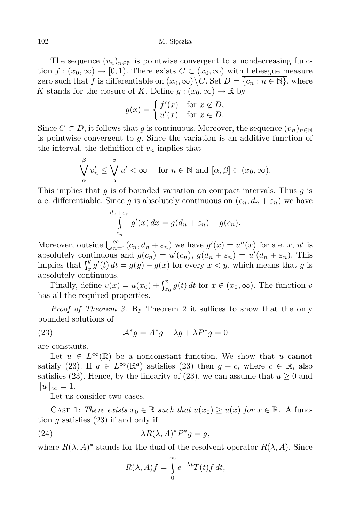The sequence  $(v_n)_{n\in\mathbb{N}}$  is pointwise convergent to a nondecreasing function  $f:(x_0,\infty)\to [0,1)$ . There exists  $C\subset (x_0,\infty)$  with Lebesgue measure zero such that *f* is differentiable on  $(x_0, \infty) \setminus C$ . Set  $D = \{c_n : n \in \mathbb{N}\}\)$ , where  $\overline{K}$  stands for the closure of *K*. Define  $g: (x_0, \infty) \to \mathbb{R}$  by

$$
g(x) = \begin{cases} f'(x) & \text{for } x \notin D, \\ u'(x) & \text{for } x \in D. \end{cases}
$$

Since  $C \subset D$ , it follows that *g* is continuous. Moreover, the sequence  $(v_n)_{n \in \mathbb{N}}$ is pointwise convergent to *g*. Since the variation is an additive function of the interval, the definition of  $v_n$  implies that

$$
\bigvee_{\alpha}^{\beta} v_n' \le \bigvee_{\alpha}^{\beta} u' < \infty \quad \text{ for } n \in \mathbb{N} \text{ and } [\alpha, \beta] \subset (x_0, \infty).
$$

This implies that *g* is of bounded variation on compact intervals. Thus *g* is a.e. differentiable. Since *g* is absolutely continuous on  $(c_n, d_n + \varepsilon_n)$  we have

$$
\int_{c_n}^{d_n+\varepsilon_n} g'(x) dx = g(d_n+\varepsilon_n) - g(c_n).
$$

Moreover, outside  $\bigcup_{n=1}^{\infty} (c_n, d_n + \varepsilon_n)$  we have  $g'(x) = u''(x)$  for a.e. *x*, *u'* is absolutely continuous and  $g(c_n) = u'(c_n)$ ,  $g(d_n + \varepsilon_n) = u'(d_n + \varepsilon_n)$ . This implies that  $\int_x^y g'(t)$  $\int_{x}^{y} g'(t) dt = g(y) - g(x)$  for every  $x < y$ , which means that *g* is absolutely continuous.

Finally, define  $v(x) = u(x_0) + \int_{x_0}^x g(t)$  $\int_{x_0}^x g(t) dt$  for  $x \in (x_0, \infty)$ . The function *v* has all the required properties.

*Proof of Theorem 3.* By Theorem 2 it suffices to show that the only bounded solutions of

(23) 
$$
\mathcal{A}^* g = A^* g - \lambda g + \lambda P^* g = 0
$$

are constants.

Let  $u \in L^{\infty}(\mathbb{R})$  be a nonconstant function. We show that *u* cannot satisfy (23). If  $g \in L^{\infty}(\mathbb{R}^d)$  satisfies (23) then  $g + c$ , where  $c \in \mathbb{R}$ , also satisfies (23). Hence, by the linearity of (23), we can assume that  $u \geq 0$  and  $||u||_{\infty} = 1.$ 

Let us consider two cases.

CASE 1: *There exists*  $x_0 \in \mathbb{R}$  *such that*  $u(x_0) \geq u(x)$  *for*  $x \in \mathbb{R}$ *.* A function *g* satisfies (23) if and only if

(24) 
$$
\lambda R(\lambda, A)^* P^* g = g,
$$

where  $R(\lambda, A)^*$  stands for the dual of the resolvent operator  $R(\lambda, A)$ . Since

$$
R(\lambda, A)f = \int_{0}^{\infty} e^{-\lambda t} T(t) f dt,
$$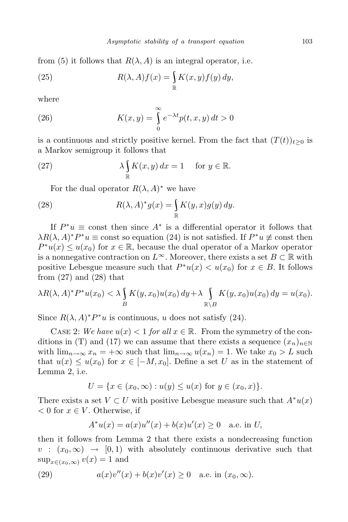from (5) it follows that  $R(\lambda, A)$  is an integral operator, i.e.

(25) 
$$
R(\lambda, A) f(x) = \int_{\mathbb{R}} K(x, y) f(y) dy,
$$

where

(26) 
$$
K(x,y) = \int_{0}^{\infty} e^{-\lambda t} p(t,x,y) dt > 0
$$

is a continuous and strictly positive kernel. From the fact that  $(T(t))_{t\geq0}$  is a Markov semigroup it follows that

(27) 
$$
\lambda \int_{\mathbb{R}} K(x, y) dx = 1 \quad \text{for } y \in \mathbb{R}.
$$

For the dual operator  $R(\lambda, A)^*$  we have

(28) 
$$
R(\lambda, A)^* g(x) = \int_{\mathbb{R}} K(y, x) g(y) dy.
$$

If  $P^*u \equiv$  const then since  $A^*$  is a differential operator it follows that  $\lambda R(\lambda, A)^* P^* u \equiv \text{const}$  so equation (24) is not satisfied. If  $P^* u \not\equiv \text{const}$  then  $P^*u(x) \leq u(x_0)$  for  $x \in \mathbb{R}$ , because the dual operator of a Markov operator is a nonnegative contraction on  $L^{\infty}$ . Moreover, there exists a set  $B \subset \mathbb{R}$  with positive Lebesgue measure such that  $P^*u(x) < u(x_0)$  for  $x \in B$ . It follows from  $(27)$  and  $(28)$  that

$$
\lambda R(\lambda, A)^* P^* u(x_0) < \lambda \int_B K(y, x_0) u(x_0) \, dy + \lambda \int_{\mathbb{R} \setminus B} K(y, x_0) u(x_0) \, dy = u(x_0).
$$

Since  $R(\lambda, A)^* P^* u$  is continuous, *u* does not satisfy (24).

CASE 2: We have  $u(x) < 1$  for all  $x \in \mathbb{R}$ . From the symmetry of the conditions in (T) and (17) we can assume that there exists a sequence  $(x_n)_{n\in\mathbb{N}}$ with  $\lim_{n\to\infty} x_n = +\infty$  such that  $\lim_{n\to\infty} u(x_n) = 1$ . We take  $x_0 > L$  such that  $u(x) \leq u(x_0)$  for  $x \in [-M, x_0]$ . Define a set *U* as in the statement of Lemma 2, i.e.

$$
U = \{ x \in (x_0, \infty) : u(y) \le u(x) \text{ for } y \in (x_0, x) \}.
$$

There exists a set  $V \subset U$  with positive Lebesgue measure such that  $A^*u(x)$ *<* 0 for *x ∈ V* . Otherwise, if

$$
A^*u(x) = a(x)u''(x) + b(x)u'(x) \ge 0 \quad \text{a.e. in } U,
$$

then it follows from Lemma 2 that there exists a nondecreasing function  $v : (x_0, \infty) \rightarrow [0, 1)$  with absolutely continuous derivative such that  $\sup_{x \in (x_0, \infty)} v(x) = 1$  and

(29) 
$$
a(x)v''(x) + b(x)v'(x) \ge 0
$$
 a.e. in  $(x_0, \infty)$ .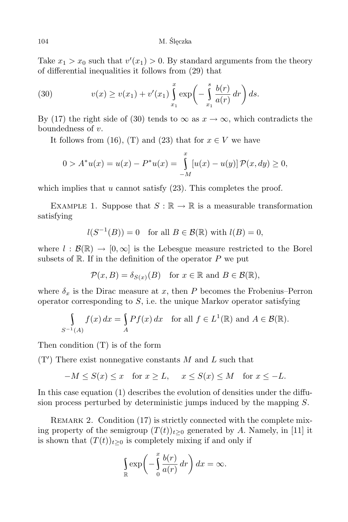Take  $x_1 > x_0$  such that  $v'(x_1) > 0$ . By standard arguments from the theory of differential inequalities it follows from (29) that

(30) 
$$
v(x) \ge v(x_1) + v'(x_1) \int_{x_1}^x \exp\left(-\int_{x_1}^s \frac{b(r)}{a(r)} dr\right) ds.
$$

By (17) the right side of (30) tends to  $\infty$  as  $x \to \infty$ , which contradicts the boundedness of *v*.

It follows from (16), (T) and (23) that for  $x \in V$  we have

$$
0 > A^*u(x) = u(x) - P^*u(x) = \int_{-M}^{x} [u(x) - u(y)] \mathcal{P}(x, dy) \ge 0,
$$

which implies that  $u$  cannot satisfy  $(23)$ . This completes the proof.

EXAMPLE 1. Suppose that  $S : \mathbb{R} \to \mathbb{R}$  is a measurable transformation satisfying

$$
l(S^{-1}(B)) = 0 \quad \text{for all } B \in \mathcal{B}(\mathbb{R}) \text{ with } l(B) = 0,
$$

where  $l : \mathcal{B}(\mathbb{R}) \to [0,\infty]$  is the Lebesgue measure restricted to the Borel subsets of  $\mathbb{R}$ . If in the definition of the operator  $P$  we put

$$
\mathcal{P}(x,B) = \delta_{S(x)}(B) \quad \text{for } x \in \mathbb{R} \text{ and } B \in \mathcal{B}(\mathbb{R}),
$$

where  $\delta_x$  is the Dirac measure at x, then P becomes the Frobenius–Perron operator corresponding to *S*, i.e. the unique Markov operator satisfying

$$
\int_{S^{-1}(A)} f(x) dx = \int_{A} Pf(x) dx \text{ for all } f \in L^{1}(\mathbb{R}) \text{ and } A \in \mathcal{B}(\mathbb{R}).
$$

Then condition (T) is of the form

(T*0* ) There exist nonnegative constants *M* and *L* such that

$$
-M \le S(x) \le x \quad \text{for } x \ge L, \quad x \le S(x) \le M \quad \text{for } x \le -L.
$$

In this case equation (1) describes the evolution of densities under the diffusion process perturbed by deterministic jumps induced by the mapping *S*.

REMARK 2. Condition (17) is strictly connected with the complete mixing property of the semigroup  $(T(t))_{t>0}$  generated by *A*. Namely, in [11] it is shown that  $(T(t))_{t>0}$  is completely mixing if and only if

$$
\int_{\mathbb{R}} \exp\left(-\int_{0}^{x} \frac{b(r)}{a(r)} dr\right) dx = \infty.
$$